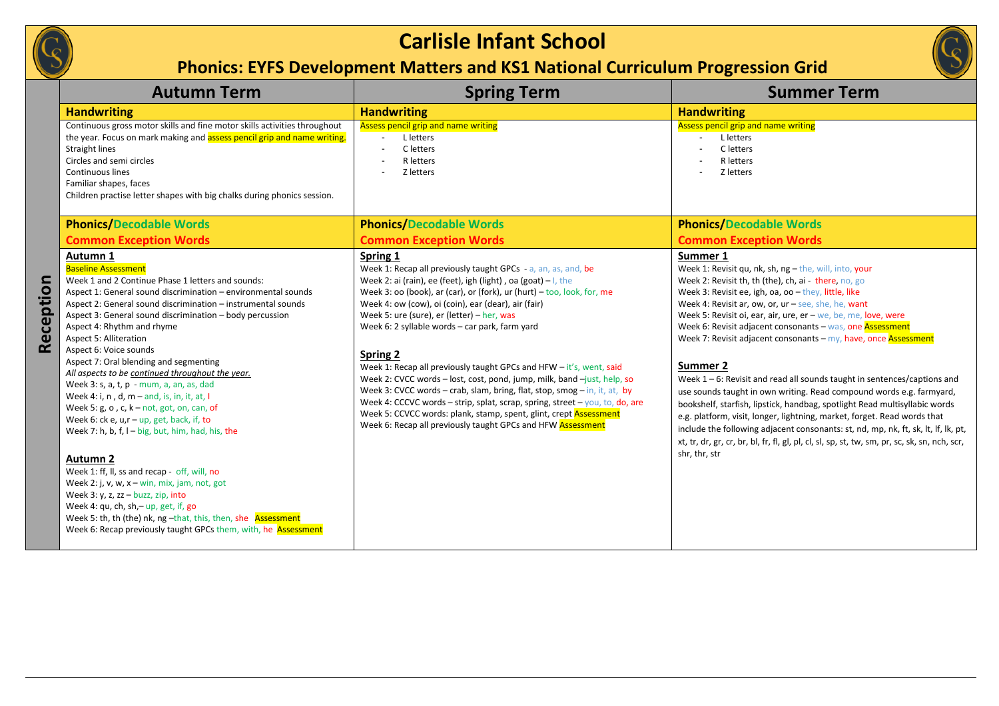## **Carlisle Infant School**

## **Phonics: EYFS Development Matters and KS1 National Curriculum Progression Grid**



|           | <b>Autumn Term</b>                                                                                                                                                                                                                                                                                                                                                                                                                                                                                                                                                                                                                                                                                                                                                                                                                                                                                                                                                                                                                                                                               | <b>Spring Term</b>                                                                                                                                                                                                                                                                                                                                                                                                                                                                                                                                                                                                                                                                                                                                                                                                                                             | <b>Summer Term</b>                                                                                                                                                                                                                                                                                                                                                                                                                                                                                                                                                                                                                                                                                                                                                                                                                                                                                                                                                               |
|-----------|--------------------------------------------------------------------------------------------------------------------------------------------------------------------------------------------------------------------------------------------------------------------------------------------------------------------------------------------------------------------------------------------------------------------------------------------------------------------------------------------------------------------------------------------------------------------------------------------------------------------------------------------------------------------------------------------------------------------------------------------------------------------------------------------------------------------------------------------------------------------------------------------------------------------------------------------------------------------------------------------------------------------------------------------------------------------------------------------------|----------------------------------------------------------------------------------------------------------------------------------------------------------------------------------------------------------------------------------------------------------------------------------------------------------------------------------------------------------------------------------------------------------------------------------------------------------------------------------------------------------------------------------------------------------------------------------------------------------------------------------------------------------------------------------------------------------------------------------------------------------------------------------------------------------------------------------------------------------------|----------------------------------------------------------------------------------------------------------------------------------------------------------------------------------------------------------------------------------------------------------------------------------------------------------------------------------------------------------------------------------------------------------------------------------------------------------------------------------------------------------------------------------------------------------------------------------------------------------------------------------------------------------------------------------------------------------------------------------------------------------------------------------------------------------------------------------------------------------------------------------------------------------------------------------------------------------------------------------|
|           | <b>Handwriting</b>                                                                                                                                                                                                                                                                                                                                                                                                                                                                                                                                                                                                                                                                                                                                                                                                                                                                                                                                                                                                                                                                               | <b>Handwriting</b>                                                                                                                                                                                                                                                                                                                                                                                                                                                                                                                                                                                                                                                                                                                                                                                                                                             | <b>Handwriting</b>                                                                                                                                                                                                                                                                                                                                                                                                                                                                                                                                                                                                                                                                                                                                                                                                                                                                                                                                                               |
|           | Continuous gross motor skills and fine motor skills activities throughout<br>the year. Focus on mark making and assess pencil grip and name writing.<br><b>Straight lines</b><br>Circles and semi circles<br>Continuous lines<br>Familiar shapes, faces<br>Children practise letter shapes with big chalks during phonics session.                                                                                                                                                                                                                                                                                                                                                                                                                                                                                                                                                                                                                                                                                                                                                               | Assess pencil grip and name writing<br>L letters<br>C letters<br>R letters<br>Z letters                                                                                                                                                                                                                                                                                                                                                                                                                                                                                                                                                                                                                                                                                                                                                                        | <b>Assess pencil grip and name writing</b><br>L letters<br>C letters<br>R letters<br>Z letters                                                                                                                                                                                                                                                                                                                                                                                                                                                                                                                                                                                                                                                                                                                                                                                                                                                                                   |
|           | <b>Phonics/Decodable Words</b>                                                                                                                                                                                                                                                                                                                                                                                                                                                                                                                                                                                                                                                                                                                                                                                                                                                                                                                                                                                                                                                                   | <b>Phonics/Decodable Words</b>                                                                                                                                                                                                                                                                                                                                                                                                                                                                                                                                                                                                                                                                                                                                                                                                                                 | <b>Phonics/Decodable Words</b>                                                                                                                                                                                                                                                                                                                                                                                                                                                                                                                                                                                                                                                                                                                                                                                                                                                                                                                                                   |
|           | <b>Common Exception Words</b>                                                                                                                                                                                                                                                                                                                                                                                                                                                                                                                                                                                                                                                                                                                                                                                                                                                                                                                                                                                                                                                                    | <b>Common Exception Words</b>                                                                                                                                                                                                                                                                                                                                                                                                                                                                                                                                                                                                                                                                                                                                                                                                                                  | <b>Common Exception Words</b>                                                                                                                                                                                                                                                                                                                                                                                                                                                                                                                                                                                                                                                                                                                                                                                                                                                                                                                                                    |
| Reception | Autumn 1<br><b>Baseline Assessment</b><br>Week 1 and 2 Continue Phase 1 letters and sounds:<br>Aspect 1: General sound discrimination - environmental sounds<br>Aspect 2: General sound discrimination - instrumental sounds<br>Aspect 3: General sound discrimination - body percussion<br>Aspect 4: Rhythm and rhyme<br><b>Aspect 5: Alliteration</b><br>Aspect 6: Voice sounds<br>Aspect 7: Oral blending and segmenting<br>All aspects to be continued throughout the year.<br>Week 3: s, a, t, p - mum, a, an, as, dad<br>Week 4: i, n, d, $m$ – and, is, in, it, at, I<br>Week 5: $g$ , $o$ , $c$ , $k - not$ , $got$ , $on$ , $can$ , of<br>Week 6: $ck$ e, $u, r - up$ , get, back, if, to<br>Week 7: h, b, f, I - big, but, him, had, his, the<br><b>Autumn 2</b><br>Week 1: ff, ll, ss and recap - off, will, no<br>Week 2: j, v, w, $x - win$ , mix, jam, not, got<br>Week 3: $y$ , z, zz – buzz, zip, into<br>Week 4: qu, ch, sh,-up, get, if, go<br>Week 5: th, th (the) nk, ng -that, this, then, she Assessment<br>Week 6: Recap previously taught GPCs them, with, he Assessment | Spring 1<br>Week 1: Recap all previously taught GPCs - a, an, as, and, be<br>Week 2: ai (rain), ee (feet), igh (light), oa (goat) $-1$ , the<br>Week 3: oo (book), ar (car), or (fork), $ur$ (hurt) $-$ too, look, for, me<br>Week 4: ow (cow), oi (coin), ear (dear), air (fair)<br>Week 5: ure (sure), er (letter) - her, was<br>Week 6: 2 syllable words - car park, farm yard<br><b>Spring 2</b><br>Week 1: Recap all previously taught GPCs and HFW - it's, went, said<br>Week 2: CVCC words - lost, cost, pond, jump, milk, band -just, help, so<br>Week 3: CVCC words - crab, slam, bring, flat, stop, smog - in, it, at, by<br>Week 4: CCCVC words – strip, splat, scrap, spring, street – you, to, do, are<br>Week 5: CCVCC words: plank, stamp, spent, glint, crept <b>Assessment</b><br>Week 6: Recap all previously taught GPCs and HFW Assessment | Summer 1<br>Week 1: Revisit qu, nk, sh, ng - the, will, into, your<br>Week 2: Revisit th, th (the), ch, ai - there, no, go<br>Week 3: Revisit ee, igh, oa, oo - they, little, like<br>Week 4: Revisit ar, ow, or, ur - see, she, he, want<br>Week 5: Revisit oi, ear, air, ure, er - we, be, me, love, were<br>Week 6: Revisit adjacent consonants - was, one Assessment<br>Week 7: Revisit adjacent consonants - my, have, once Assessment<br>Summer 2<br>Week $1 - 6$ : Revisit and read all sounds taught in sentences/captions and<br>use sounds taught in own writing. Read compound words e.g. farmyard,<br>bookshelf, starfish, lipstick, handbag, spotlight Read multisyllabic words<br>e.g. platform, visit, longer, lightning, market, forget. Read words that<br>include the following adjacent consonants: st, nd, mp, nk, ft, sk, lt, lf, lk, pt,<br>xt, tr, dr, gr, cr, br, bl, fr, fl, gl, pl, cl, sl, sp, st, tw, sm, pr, sc, sk, sn, nch, scr,<br>shr, thr, str |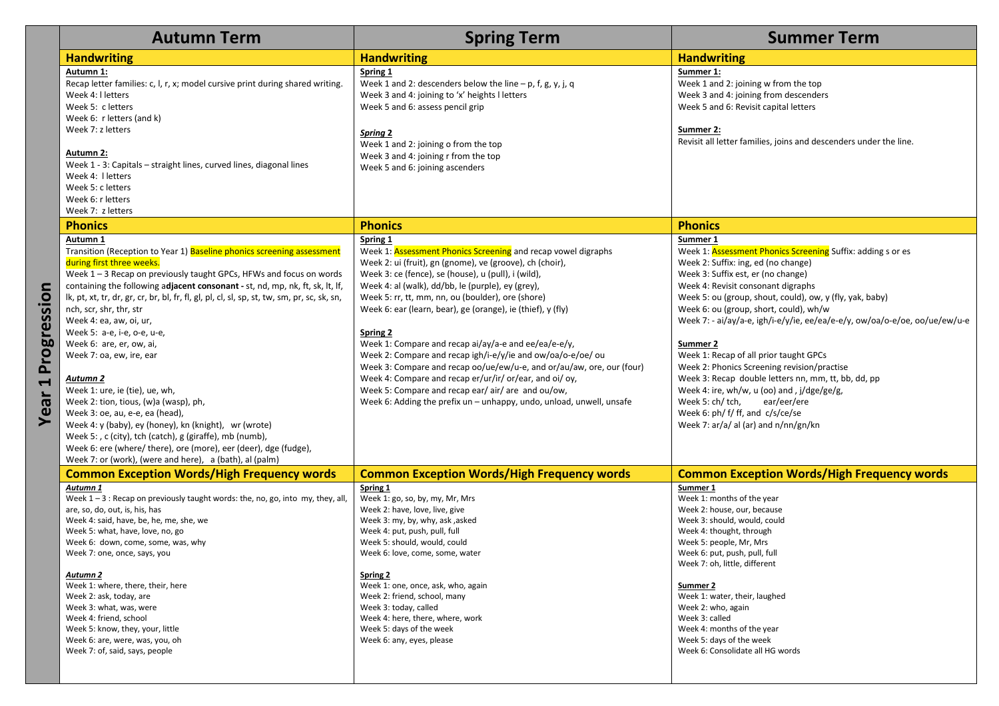|                                       | <b>Autumn Term</b>                                                                                                                                                                                                                                                                                                                                                                                                                                                                                                                                                                                                                                                                                                                                                                                                                                                                           | <b>Spring Term</b>                                                                                                                                                                                                                                                                                                                                                                                                                                                                                                                                                                                                                                                                                                                                             | <b>Summer Term</b>                                                                                                                                                                                                                                                                                                                                                                                                                                                                                                                                                                                                                                                                                 |
|---------------------------------------|----------------------------------------------------------------------------------------------------------------------------------------------------------------------------------------------------------------------------------------------------------------------------------------------------------------------------------------------------------------------------------------------------------------------------------------------------------------------------------------------------------------------------------------------------------------------------------------------------------------------------------------------------------------------------------------------------------------------------------------------------------------------------------------------------------------------------------------------------------------------------------------------|----------------------------------------------------------------------------------------------------------------------------------------------------------------------------------------------------------------------------------------------------------------------------------------------------------------------------------------------------------------------------------------------------------------------------------------------------------------------------------------------------------------------------------------------------------------------------------------------------------------------------------------------------------------------------------------------------------------------------------------------------------------|----------------------------------------------------------------------------------------------------------------------------------------------------------------------------------------------------------------------------------------------------------------------------------------------------------------------------------------------------------------------------------------------------------------------------------------------------------------------------------------------------------------------------------------------------------------------------------------------------------------------------------------------------------------------------------------------------|
|                                       | <b>Handwriting</b>                                                                                                                                                                                                                                                                                                                                                                                                                                                                                                                                                                                                                                                                                                                                                                                                                                                                           | <b>Handwriting</b>                                                                                                                                                                                                                                                                                                                                                                                                                                                                                                                                                                                                                                                                                                                                             | <b>Handwriting</b>                                                                                                                                                                                                                                                                                                                                                                                                                                                                                                                                                                                                                                                                                 |
|                                       | Autumn 1:<br>Recap letter families: c, l, r, x; model cursive print during shared writing.<br>Week 4: I letters<br>Week 5: c letters<br>Week 6: r letters (and k)<br>Week 7: z letters<br>Autumn 2:<br>Week 1 - 3: Capitals - straight lines, curved lines, diagonal lines<br>Week 4: I letters<br>Week 5: c letters<br>Week 6: r letters                                                                                                                                                                                                                                                                                                                                                                                                                                                                                                                                                    | Spring 1<br>Week 1 and 2: descenders below the line $- p$ , f, g, y, j, q<br>Week 3 and 4: joining to 'x' heights I letters<br>Week 5 and 6: assess pencil grip<br><b>Spring 2</b><br>Week 1 and 2: joining o from the top<br>Week 3 and 4: joining r from the top<br>Week 5 and 6: joining ascenders                                                                                                                                                                                                                                                                                                                                                                                                                                                          | Summer 1:<br>Week 1 and 2: joining w from the top<br>Week 3 and 4: joining from descenders<br>Week 5 and 6: Revisit capital letters<br>Summer 2:<br>Revisit all letter families, joins and descenders under the line.                                                                                                                                                                                                                                                                                                                                                                                                                                                                              |
|                                       | Week 7: z letters<br><b>Phonics</b>                                                                                                                                                                                                                                                                                                                                                                                                                                                                                                                                                                                                                                                                                                                                                                                                                                                          | <b>Phonics</b>                                                                                                                                                                                                                                                                                                                                                                                                                                                                                                                                                                                                                                                                                                                                                 | <b>Phonics</b>                                                                                                                                                                                                                                                                                                                                                                                                                                                                                                                                                                                                                                                                                     |
|                                       | Autumn 1                                                                                                                                                                                                                                                                                                                                                                                                                                                                                                                                                                                                                                                                                                                                                                                                                                                                                     | Spring 1                                                                                                                                                                                                                                                                                                                                                                                                                                                                                                                                                                                                                                                                                                                                                       | Summer 1                                                                                                                                                                                                                                                                                                                                                                                                                                                                                                                                                                                                                                                                                           |
| Progression<br>$\blacksquare$<br>Year | Transition (Reception to Year 1) Baseline phonics screening assessment<br>during first three weeks.<br>Week 1 - 3 Recap on previously taught GPCs, HFWs and focus on words<br>containing the following adjacent consonant - st, nd, mp, nk, ft, sk, lt, lf,<br>lk, pt, xt, tr, dr, gr, cr, br, bl, fr, fl, gl, pl, cl, sl, sp, st, tw, sm, pr, sc, sk, sn,<br>nch, scr, shr, thr, str<br>Week 4: ea, aw, oi, ur,<br>Week 5: a-e, i-e, o-e, u-e,<br>Week 6: are, er, ow, ai,<br>Week 7: oa, ew, ire, ear<br><u>Autumn 2</u><br>Week 1: ure, ie (tie), ue, wh,<br>Week 2: tion, tious, (w)a (wasp), ph,<br>Week 3: oe, au, e-e, ea (head),<br>Week 4: y (baby), ey (honey), kn (knight), wr (wrote)<br>Week 5: , c (city), tch (catch), g (giraffe), mb (numb),<br>Week 6: ere (where/ there), ore (more), eer (deer), dge (fudge),<br>Week 7: or (work), (were and here), a (bath), al (palm) | Week 1: Assessment Phonics Screening and recap vowel digraphs<br>Week 2: ui (fruit), gn (gnome), ve (groove), ch (choir),<br>Week 3: ce (fence), se (house), u (pull), i (wild),<br>Week 4: al (walk), dd/bb, le (purple), ey (grey),<br>Week 5: rr, tt, mm, nn, ou (boulder), ore (shore)<br>Week 6: ear (learn, bear), ge (orange), ie (thief), y (fly)<br>Spring 2<br>Week 1: Compare and recap ai/ay/a-e and ee/ea/e-e/y,<br>Week 2: Compare and recap igh/i-e/y/ie and ow/oa/o-e/oe/ ou<br>Week 3: Compare and recap oo/ue/ew/u-e, and or/au/aw, ore, our (four)<br>Week 4: Compare and recap er/ur/ir/ or/ear, and oi/ oy,<br>Week 5: Compare and recap ear/ air/ are and ou/ow,<br>Week 6: Adding the prefix un - unhappy, undo, unload, unwell, unsafe | Week 1: <b>Assessment Phonics Screening</b> Suffix: adding s or es<br>Week 2: Suffix: ing, ed (no change)<br>Week 3: Suffix est, er (no change)<br>Week 4: Revisit consonant digraphs<br>Week 5: ou (group, shout, could), ow, y (fly, yak, baby)<br>Week 6: ou (group, short, could), wh/w<br>Week 7: - ai/ay/a-e, igh/i-e/y/ie, ee/ea/e-e/y, ow/oa/o-e/oe, oo/ue/ew/u-e<br>Summer 2<br>Week 1: Recap of all prior taught GPCs<br>Week 2: Phonics Screening revision/practise<br>Week 3: Recap double letters nn, mm, tt, bb, dd, pp<br>Week 4: ire, wh/w, u (oo) and, j/dge/ge/g,<br>Week 5: ch/ tch,<br>ear/eer/ere<br>Week 6: ph/ f/ ff, and c/s/ce/se<br>Week 7: ar/a/ al (ar) and n/nn/gn/kn |
|                                       | <b>Common Exception Words/High Frequency words</b>                                                                                                                                                                                                                                                                                                                                                                                                                                                                                                                                                                                                                                                                                                                                                                                                                                           | <b>Common Exception Words/High Frequency words</b>                                                                                                                                                                                                                                                                                                                                                                                                                                                                                                                                                                                                                                                                                                             | <b>Common Exception Words/High Frequency words</b>                                                                                                                                                                                                                                                                                                                                                                                                                                                                                                                                                                                                                                                 |
|                                       | Autumn 1<br>Week $1 - 3$ : Recap on previously taught words: the, no, go, into my, they, all,<br>are, so, do, out, is, his, has<br>Week 4: said, have, be, he, me, she, we<br>Week 5: what, have, love, no, go<br>Week 6: down, come, some, was, why<br>Week 7: one, once, says, you<br>Autumn 2<br>Week 1: where, there, their, here<br>Week 2: ask, today, are<br>Week 3: what, was, were<br>Week 4: friend, school<br>Week 5: know, they, your, little<br>Week 6: are, were, was, you, oh<br>Week 7: of, said, says, people                                                                                                                                                                                                                                                                                                                                                               | Spring 1<br>Week 1: go, so, by, my, Mr, Mrs<br>Week 2: have, love, live, give<br>Week 3: my, by, why, ask, asked<br>Week 4: put, push, pull, full<br>Week 5: should, would, could<br>Week 6: love, come, some, water<br>Spring 2<br>Week 1: one, once, ask, who, again<br>Week 2: friend, school, many<br>Week 3: today, called<br>Week 4: here, there, where, work<br>Week 5: days of the week<br>Week 6: any, eyes, please                                                                                                                                                                                                                                                                                                                                   | Summer 1<br>Week 1: months of the year<br>Week 2: house, our, because<br>Week 3: should, would, could<br>Week 4: thought, through<br>Week 5: people, Mr, Mrs<br>Week 6: put, push, pull, full<br>Week 7: oh, little, different<br>Summer 2<br>Week 1: water, their, laughed<br>Week 2: who, again<br>Week 3: called<br>Week 4: months of the year<br>Week 5: days of the week<br>Week 6: Consolidate all HG words                                                                                                                                                                                                                                                                                  |